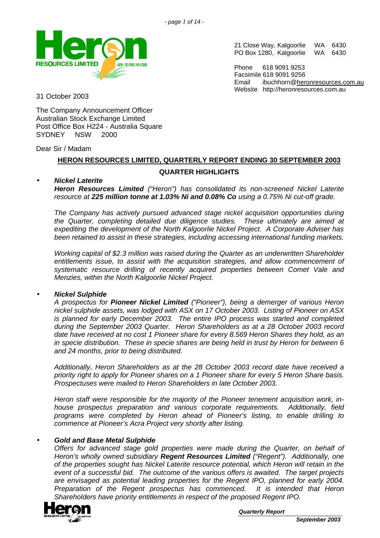

21 Close Way, Kalgoorlie WA 6430<br>PO Box 1280, Kalgoorlie WA 6430 PO Box 1280, Kalgoorlie

Phone 618 9091 9253 Facsimile 618 9091 9256 Email ibuchhorn@heronresources.com.au Website http://heronresources.com.au

31 October 2003

The Company Announcement Officer Australian Stock Exchange Limited Post Office Box H224 - Australia Square SYDNEY NSW 2000

### Dear Sir / Madam

# **HERON RESOURCES LIMITED, QUARTERLY REPORT ENDING 30 SEPTEMBER 2003 QUARTER HIGHLIGHTS**

# • *Nickel Laterite*

*Heron Resources Limited ("Heron") has consolidated its non-screened Nickel Laterite resource at 225 million tonne at 1.03% Ni and 0.08% Co using a 0.75% Ni cut-off grade.* 

*The Company has actively pursued advanced stage nickel acquisition opportunities during the Quarter, completing detailed due diligence studies. These ultimately are aimed at expediting the development of the North Kalgoorlie Nickel Project. A Corporate Adviser has been retained to assist in these strategies, including accessing international funding markets.*

*Working capital of \$2.3 million was raised during the Quarter as an underwritten Shareholder entitlements issue, to assist with the acquisition strategies, and allow commencement of systematic resource drilling of recently acquired properties between Comet Vale and Menzies, within the North Kalgoorlie Nickel Project.*

# • *Nickel Sulphide*

*A prospectus for Pioneer Nickel Limited ("Pioneer"), being a demerger of various Heron nickel sulphide assets, was lodged with ASX on 17 October 2003. Listing of Pioneer on ASX is planned for early December 2003. The entire IPO process was started and completed during the September 2003 Quarter. Heron Shareholders as at a 28 October 2003 record date have received at no cost 1 Pioneer share for every 8.569 Heron Shares they hold, as an in specie distribution. These in specie shares are being held in trust by Heron for between 6 and 24 months, prior to being distributed.*

*Additionally, Heron Shareholders as at the 28 October 2003 record date have received a priority right to apply for Pioneer shares on a 1 Pioneer share for every 5 Heron Share basis. Prospectuses were mailed to Heron Shareholders in late October 2003.*

*Heron staff were responsible for the majority of the Pioneer tenement acquisition work, inhouse prospectus preparation and various corporate requirements. Additionally, field programs were completed by Heron ahead of Pioneer's listing, to enable drilling to commence at Pioneer's Acra Project very shortly after listing.*

#### • *Gold and Base Metal Sulphide*

*Offers for advanced stage gold properties were made during the Quarter, on behalf of Heron's wholly owned subsidiary Regent Resources Limited ("Regent"). Additionally, one of the properties sought has Nickel Laterite resource potential, which Heron will retain in the event of a successful bid. The outcome of the various offers is awaited. The target projects are envisaged as potential leading properties for the Regent IPO, planned for early 2004. Preparation of the Regent prospectus has commenced. It is intended that Heron Shareholders have priority entitlements in respect of the proposed Regent IPO.*

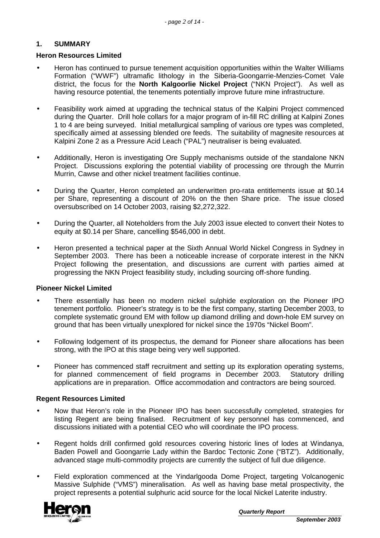# **1. SUMMARY**

# **Heron Resources Limited**

- Heron has continued to pursue tenement acquisition opportunities within the Walter Williams Formation ("WWF") ultramafic lithology in the Siberia-Goongarrie-Menzies-Comet Vale district, the focus for the **North Kalgoorlie Nickel Project** ("NKN Project"). As well as having resource potential, the tenements potentially improve future mine infrastructure.
- Feasibility work aimed at upgrading the technical status of the Kalpini Project commenced during the Quarter. Drill hole collars for a major program of in-fill RC drilling at Kalpini Zones 1 to 4 are being surveyed. Initial metallurgical sampling of various ore types was completed, specifically aimed at assessing blended ore feeds. The suitability of magnesite resources at Kalpini Zone 2 as a Pressure Acid Leach ("PAL") neutraliser is being evaluated.
- Additionally, Heron is investigating Ore Supply mechanisms outside of the standalone NKN Project. Discussions exploring the potential viability of processing ore through the Murrin Murrin, Cawse and other nickel treatment facilities continue.
- During the Quarter, Heron completed an underwritten pro-rata entitlements issue at \$0.14 per Share, representing a discount of 20% on the then Share price. The issue closed oversubscribed on 14 October 2003, raising \$2,272,322.
- During the Quarter, all Noteholders from the July 2003 issue elected to convert their Notes to equity at \$0.14 per Share, cancelling \$546,000 in debt.
- Heron presented a technical paper at the Sixth Annual World Nickel Congress in Sydney in September 2003. There has been a noticeable increase of corporate interest in the NKN Project following the presentation, and discussions are current with parties aimed at progressing the NKN Project feasibility study, including sourcing off-shore funding.

# **Pioneer Nickel Limited**

- There essentially has been no modern nickel sulphide exploration on the Pioneer IPO tenement portfolio. Pioneer's strategy is to be the first company, starting December 2003, to complete systematic ground EM with follow up diamond drilling and down-hole EM survey on ground that has been virtually unexplored for nickel since the 1970s "Nickel Boom".
- Following lodgement of its prospectus, the demand for Pioneer share allocations has been strong, with the IPO at this stage being very well supported.
- Pioneer has commenced staff recruitment and setting up its exploration operating systems, for planned commencement of field programs in December 2003. Statutory drilling applications are in preparation. Office accommodation and contractors are being sourced.

# **Regent Resources Limited**

- Now that Heron's role in the Pioneer IPO has been successfully completed, strategies for listing Regent are being finalised. Recruitment of key personnel has commenced, and discussions initiated with a potential CEO who will coordinate the IPO process.
- Regent holds drill confirmed gold resources covering historic lines of lodes at Windanya, Baden Powell and Goongarrie Lady within the Bardoc Tectonic Zone ("BTZ"). Additionally, advanced stage multi-commodity projects are currently the subject of full due diligence.
- Field exploration commenced at the Yindarlgooda Dome Project, targeting Volcanogenic Massive Sulphide ("VMS") mineralisation. As well as having base metal prospectivity, the project represents a potential sulphuric acid source for the local Nickel Laterite industry.



*Quarterly Report*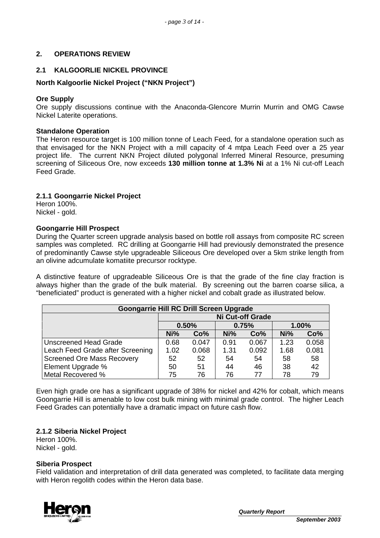# **2. OPERATIONS REVIEW**

# **2.1 KALGOORLIE NICKEL PROVINCE**

# **North Kalgoorlie Nickel Project ("NKN Project")**

### **Ore Supply**

Ore supply discussions continue with the Anaconda-Glencore Murrin Murrin and OMG Cawse Nickel Laterite operations.

#### **Standalone Operation**

The Heron resource target is 100 million tonne of Leach Feed, for a standalone operation such as that envisaged for the NKN Project with a mill capacity of 4 mtpa Leach Feed over a 25 year project life. The current NKN Project diluted polygonal Inferred Mineral Resource, presuming screening of Siliceous Ore, now exceeds **130 million tonne at 1.3% Ni** at a 1% Ni cut-off Leach Feed Grade.

### **2.1.1 Goongarrie Nickel Project**

Heron 100%. Nickel - gold.

### **Goongarrie Hill Prospect**

During the Quarter screen upgrade analysis based on bottle roll assays from composite RC screen samples was completed. RC drilling at Goongarrie Hill had previously demonstrated the presence of predominantly Cawse style upgradeable Siliceous Ore developed over a 5km strike length from an olivine adcumulate komatiite precursor rocktype.

A distinctive feature of upgradeable Siliceous Ore is that the grade of the fine clay fraction is always higher than the grade of the bulk material. By screening out the barren coarse silica, a "beneficiated" product is generated with a higher nickel and cobalt grade as illustrated below.

| <b>Goongarrie Hill RC Drill Screen Upgrade</b> |                         |                 |      |       |      |       |
|------------------------------------------------|-------------------------|-----------------|------|-------|------|-------|
|                                                | Ni Cut-off Grade        |                 |      |       |      |       |
|                                                | 0.50%<br>0.75%<br>1.00% |                 |      |       |      |       |
| Ni%<br>Co%<br>Ni%<br>Co%                       |                         |                 |      |       | Ni%  | Co%   |
| <b>Unscreened Head Grade</b>                   | 0.68                    | 0.047           | 0.91 | 0.067 | 1.23 | 0.058 |
| Leach Feed Grade after Screening               | 1.02                    | 0.068           | 1.31 | 0.092 | 1.68 | 0.081 |
| <b>Screened Ore Mass Recovery</b>              | 52                      | 52 <sub>2</sub> | 54   | 54    | 58   | 58    |
| Element Upgrade %                              | 50                      | 51              | 44   | 46    | 38   | 42    |
| Metal Recovered %                              | 75                      | 76              | 76   | 77    | 78   | 79    |

Even high grade ore has a significant upgrade of 38% for nickel and 42% for cobalt, which means Goongarrie Hill is amenable to low cost bulk mining with minimal grade control. The higher Leach Feed Grades can potentially have a dramatic impact on future cash flow.

# **2.1.2 Siberia Nickel Project**

Heron 100%. Nickel - gold.

#### **Siberia Prospect**

Field validation and interpretation of drill data generated was completed, to facilitate data merging with Heron regolith codes within the Heron data base.

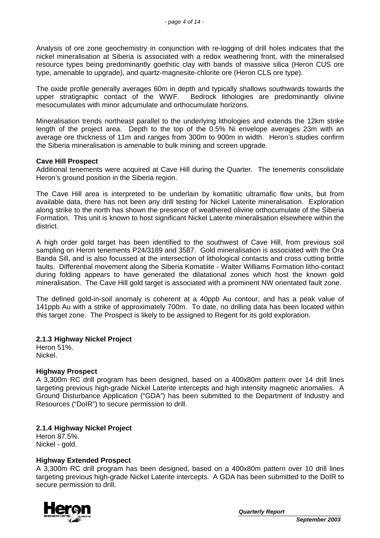Analysis of ore zone geochemistry in conjunction with re-logging of drill holes indicates that the nickel mineralisation at Siberia is associated with a redox weathering front, with the mineralised resource types being predominantly goethitic clay with bands of massive silica (Heron CUS ore type, amenable to upgrade), and quartz-magnesite-chlorite ore (Heron CLS ore type).

The oxide profile generally averages 60m in depth and typically shallows southwards towards the upper strationablic contact of the WWF. Bedrock lithologies are predominantly olivine Bedrock lithologies are predominantly olivine mesocumulates with minor adcumulate and orthocumulate horizons.

Mineralisation trends northeast parallel to the underlying lithologies and extends the 12km strike length of the project area. Depth to the top of the 0.5% Ni envelope averages 23m with an average ore thickness of 11m and ranges from 300m to 900m in width. Heron's studies confirm the Siberia mineralisation is amenable to bulk mining and screen upgrade.

### **Cave Hill Prospect**

Additional tenements were acquired at Cave Hill during the Quarter. The tenements consolidate Heron's ground position in the Siberia region.

The Cave Hill area is interpreted to be underlain by komatiitic ultramafic flow units, but from available data, there has not been any drill testing for Nickel Laterite mineralisation. Exploration along strike to the north has shown the presence of weathered olivine orthocumulate of the Siberia Formation. This unit is known to host significant Nickel Laterite mineralisation elsewhere within the district.

A high order gold target has been identified to the southwest of Cave Hill, from previous soil sampling on Heron tenements P24/3189 and 3587. Gold mineralisation is associated with the Ora Banda Sill, and is also focussed at the intersection of lithological contacts and cross cutting brittle faults. Differential movement along the Siberia Komatiite - Walter Williams Formation litho-contact during folding appears to have generated the dilatational zones which host the known gold mineralisation. The Cave Hill gold target is associated with a prominent NW orientated fault zone.

The defined gold-in-soil anomaly is coherent at a 40ppb Au contour, and has a peak value of 141ppb Au with a strike of approximately 700m. To date, no drilling data has been located within this target zone. The Prospect is likely to be assigned to Regent for its gold exploration.

# **2.1.3 Highway Nickel Project**

Heron 51%. Nickel.

# **Highway Prospect**

A 3,300m RC drill program has been designed, based on a 400x80m pattern over 14 drill lines targeting previous high-grade Nickel Laterite intercepts and high intensity magnetic anomalies. A Ground Disturbance Application ("GDA") has been submitted to the Department of Industry and Resources ("DoIR") to secure permission to drill.

# **2.1.4 Highway Nickel Project**

Heron 87.5%. Nickel - gold.

#### **Highway Extended Prospect**

A 3,300m RC drill program has been designed, based on a 400x80m pattern over 10 drill lines targeting previous high-grade Nickel Laterite intercepts. A GDA has been submitted to the DoIR to secure permission to drill.

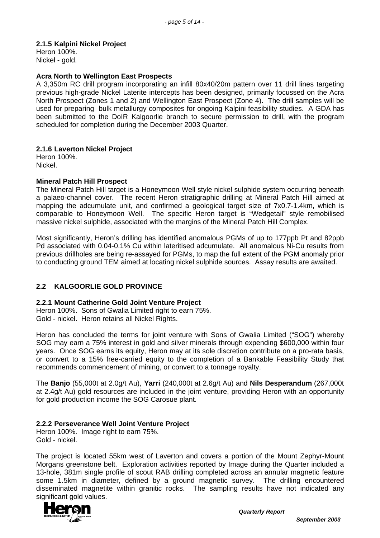# **2.1.5 Kalpini Nickel Project**

Heron 100%. Nickel - gold.

### **Acra North to Wellington East Prospects**

A 3,350m RC drill program incorporating an infill 80x40/20m pattern over 11 drill lines targeting previous high-grade Nickel Laterite intercepts has been designed, primarily focussed on the Acra North Prospect (Zones 1 and 2) and Wellington East Prospect (Zone 4). The drill samples will be used for preparing bulk metallurgy composites for ongoing Kalpini feasibility studies. A GDA has been submitted to the DoIR Kalgoorlie branch to secure permission to drill, with the program scheduled for completion during the December 2003 Quarter.

### **2.1.6 Laverton Nickel Project**

Heron 100%. Nickel.

### **Mineral Patch Hill Prospect**

The Mineral Patch Hill target is a Honeymoon Well style nickel sulphide system occurring beneath a palaeo-channel cover. The recent Heron stratigraphic drilling at Mineral Patch Hill aimed at mapping the adcumulate unit, and confirmed a geological target size of 7x0.7-1.4km, which is comparable to Honeymoon Well. The specific Heron target is "Wedgetail" style remobilised massive nickel sulphide, associated with the margins of the Mineral Patch Hill Complex.

Most significantly, Heron's drilling has identified anomalous PGMs of up to 177ppb Pt and 82ppb Pd associated with 0.04-0.1% Cu within lateritised adcumulate. All anomalous Ni-Cu results from previous drillholes are being re-assayed for PGMs, to map the full extent of the PGM anomaly prior to conducting ground TEM aimed at locating nickel sulphide sources. Assay results are awaited.

# **2.2 KALGOORLIE GOLD PROVINCE**

# **2.2.1 Mount Catherine Gold Joint Venture Project**

Heron 100%. Sons of Gwalia Limited right to earn 75%. Gold - nickel. Heron retains all Nickel Rights.

Heron has concluded the terms for joint venture with Sons of Gwalia Limited ("SOG") whereby SOG may earn a 75% interest in gold and silver minerals through expending \$600,000 within four years. Once SOG earns its equity, Heron may at its sole discretion contribute on a pro-rata basis, or convert to a 15% free-carried equity to the completion of a Bankable Feasibility Study that recommends commencement of mining, or convert to a tonnage royalty.

The **Banjo** (55,000t at 2.0g/t Au), **Yarri** (240,000t at 2.6g/t Au) and **Nils Desperandum** (267,000t at 2.4g/t Au) gold resources are included in the joint venture, providing Heron with an opportunity for gold production income the SOG Carosue plant.

# **2.2.2 Perseverance Well Joint Venture Project**

Heron 100%. Image right to earn 75%. Gold - nickel.

The project is located 55km west of Laverton and covers a portion of the Mount Zephyr-Mount Morgans greenstone belt. Exploration activities reported by Image during the Quarter included a 13-hole, 381m single profile of scout RAB drilling completed across an annular magnetic feature some 1.5km in diameter, defined by a ground magnetic survey. The drilling encountered disseminated magnetite within granitic rocks. The sampling results have not indicated any significant gold values.

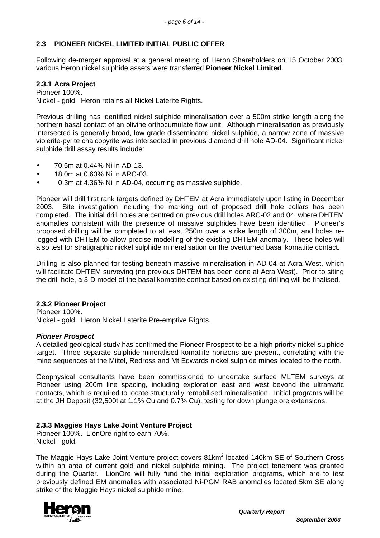# **2.3 PIONEER NICKEL LIMITED INITIAL PUBLIC OFFER**

Following de-merger approval at a general meeting of Heron Shareholders on 15 October 2003, various Heron nickel sulphide assets were transferred **Pioneer Nickel Limited**.

# **2.3.1 Acra Project**

Pioneer 100%. Nickel - gold. Heron retains all Nickel Laterite Rights.

Previous drilling has identified nickel sulphide mineralisation over a 500m strike length along the northern basal contact of an olivine orthocumulate flow unit. Although mineralisation as previously intersected is generally broad, low grade disseminated nickel sulphide, a narrow zone of massive violerite-pyrite chalcopyrite was intersected in previous diamond drill hole AD-04. Significant nickel sulphide drill assay results include:

- 70.5m at 0.44% Ni in AD-13.
- 18.0m at 0.63% Ni in ARC-03.
- 0.3m at 4.36% Ni in AD-04, occurring as massive sulphide.

Pioneer will drill first rank targets defined by DHTEM at Acra immediately upon listing in December 2003. Site investigation including the marking out of proposed drill hole collars has been completed. The initial drill holes are centred on previous drill holes ARC-02 and 04, where DHTEM anomalies consistent with the presence of massive sulphides have been identified. Pioneer's proposed drilling will be completed to at least 250m over a strike length of 300m, and holes relogged with DHTEM to allow precise modelling of the existing DHTEM anomaly. These holes will also test for stratigraphic nickel sulphide mineralisation on the overturned basal komatiite contact.

Drilling is also planned for testing beneath massive mineralisation in AD-04 at Acra West, which will facilitate DHTEM surveying (no previous DHTEM has been done at Acra West). Prior to siting the drill hole, a 3-D model of the basal komatiite contact based on existing drilling will be finalised.

#### **2.3.2 Pioneer Project**

Pioneer 100%. Nickel - gold. Heron Nickel Laterite Pre-emptive Rights.

#### *Pioneer Prospect*

A detailed geological study has confirmed the Pioneer Prospect to be a high priority nickel sulphide target. Three separate sulphide-mineralised komatiite horizons are present, correlating with the mine sequences at the Miitel, Redross and Mt Edwards nickel sulphide mines located to the north.

Geophysical consultants have been commissioned to undertake surface MLTEM surveys at Pioneer using 200m line spacing, including exploration east and west beyond the ultramafic contacts, which is required to locate structurally remobilised mineralisation. Initial programs will be at the JH Deposit (32,500t at 1.1% Cu and 0.7% Cu), testing for down plunge ore extensions.

#### **2.3.3 Maggies Hays Lake Joint Venture Project**

Pioneer 100%. LionOre right to earn 70%. Nickel - gold.

The Maggie Hays Lake Joint Venture project covers 81km<sup>2</sup> located 140km SE of Southern Cross within an area of current gold and nickel sulphide mining. The project tenement was granted during the Quarter. LionOre will fully fund the initial exploration programs, which are to test previously defined EM anomalies with associated Ni-PGM RAB anomalies located 5km SE along strike of the Maggie Hays nickel sulphide mine.

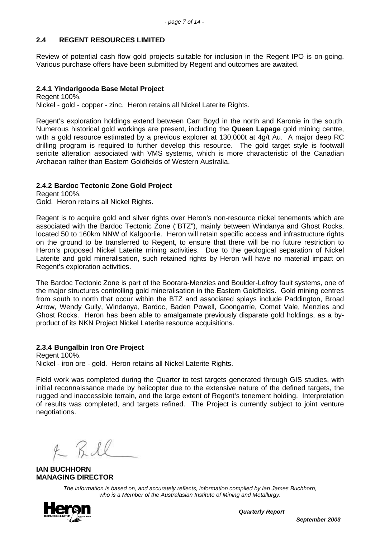# **2.4 REGENT RESOURCES LIMITED**

Review of potential cash flow gold projects suitable for inclusion in the Regent IPO is on-going. Various purchase offers have been submitted by Regent and outcomes are awaited.

### **2.4.1 Yindarlgooda Base Metal Project**

Regent 100%. Nickel - gold - copper - zinc. Heron retains all Nickel Laterite Rights.

Regent's exploration holdings extend between Carr Boyd in the north and Karonie in the south. Numerous historical gold workings are present, including the **Queen Lapage** gold mining centre, with a gold resource estimated by a previous explorer at 130,000t at 4g/t Au. A major deep RC drilling program is required to further develop this resource. The gold target style is footwall sericite alteration associated with VMS systems, which is more characteristic of the Canadian Archaean rather than Eastern Goldfields of Western Australia.

# **2.4.2 Bardoc Tectonic Zone Gold Project**

Regent 100%. Gold. Heron retains all Nickel Rights.

Regent is to acquire gold and silver rights over Heron's non-resource nickel tenements which are associated with the Bardoc Tectonic Zone ("BTZ"), mainly between Windanya and Ghost Rocks, located 50 to 160km NNW of Kalgoorlie. Heron will retain specific access and infrastructure rights on the ground to be transferred to Regent, to ensure that there will be no future restriction to Heron's proposed Nickel Laterite mining activities. Due to the geological separation of Nickel Laterite and gold mineralisation, such retained rights by Heron will have no material impact on Regent's exploration activities.

The Bardoc Tectonic Zone is part of the Boorara-Menzies and Boulder-Lefroy fault systems, one of the major structures controlling gold mineralisation in the Eastern Goldfields. Gold mining centres from south to north that occur within the BTZ and associated splays include Paddington, Broad Arrow, Wendy Gully, Windanya, Bardoc, Baden Powell, Goongarrie, Comet Vale, Menzies and Ghost Rocks. Heron has been able to amalgamate previously disparate gold holdings, as a byproduct of its NKN Project Nickel Laterite resource acquisitions.

# **2.3.4 Bungalbin Iron Ore Project**

Regent 100%. Nickel - iron ore - gold. Heron retains all Nickel Laterite Rights.

Field work was completed during the Quarter to test targets generated through GIS studies, with initial reconnaissance made by helicopter due to the extensive nature of the defined targets, the rugged and inaccessible terrain, and the large extent of Regent's tenement holding. Interpretation of results was completed, and targets refined. The Project is currently subject to joint venture negotiations.

R Bill

**IAN BUCHHORN MANAGING DIRECTOR**

*The information is based on, and accurately reflects, information compiled by Ian James Buchhorn, who is a Member of the Australasian Institute of Mining and Metallurgy.*



*Quarterly Report*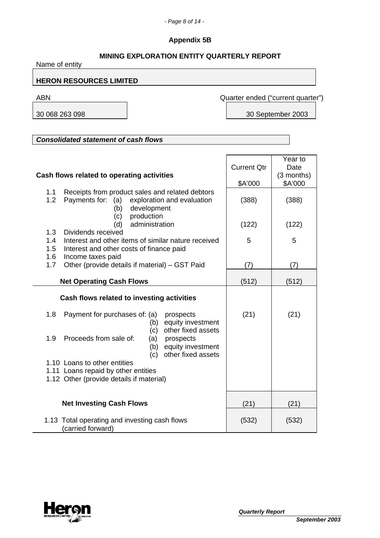# **Appendix 5B**

# **MINING EXPLORATION ENTITY QUARTERLY REPORT**

Name of entity **HERON RESOURCES LIMITED** ABN Quarter ended ("current quarter") 30 068 263 098 30 September 2003 *Consolidated statement of cash flows* **Cash flows related to operating activities** Current Qtr \$A'000 Year to Date (3 months) \$A'000 1.1 Receipts from product sales and related debtors 1.2 Payments for: (a) exploration and evaluation | (388) | (388) (b) development (c) production (d) administration (122) (122) 1.3 Dividends received 1.4 Interest and other items of similar nature received  $\begin{array}{|c|c|c|c|c|c|} \hline 5 & 5 & 5 \end{array}$  1.5 Interest and other costs of finance paid 1.6 Income taxes paid 1.7 Other (provide details if material) – GST Paid  $(7)$  (7) (7) **Net Operating Cash Flows**  $(512)$  (512) (512) **Cash flows related to investing activities** 1.8 Payment for purchases of: (a) prospects (21) (21) (21) (b) equity investment (c) other fixed assets 1.9 Proceeds from sale of: (a) prospects (b) equity investment (c) other fixed assets 1.10 Loans to other entities 1.11 Loans repaid by other entities 1.12 Other (provide details if material) **Net Investing Cash Flows** (21) (21) (21) 1.13 Total operating and investing cash flows (carried forward) (532) (532)

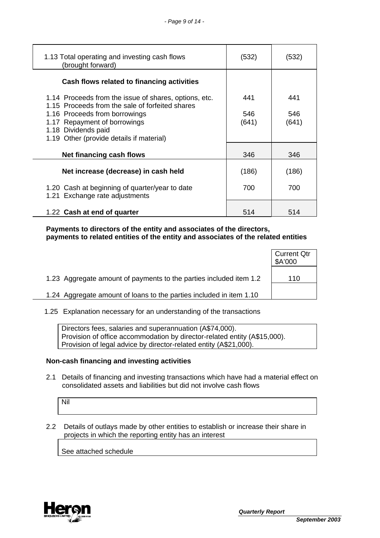| 1.13 Total operating and investing cash flows<br>(brought forward)                                       | (532) | (532) |
|----------------------------------------------------------------------------------------------------------|-------|-------|
| Cash flows related to financing activities                                                               |       |       |
| 1.14 Proceeds from the issue of shares, options, etc.<br>1.15 Proceeds from the sale of forfeited shares | 441   | 441   |
| 1.16 Proceeds from borrowings                                                                            | 546   | 546   |
| 1.17 Repayment of borrowings                                                                             | (641) | (641) |
| 1.18 Dividends paid                                                                                      |       |       |
| 1.19 Other (provide details if material)                                                                 |       |       |
|                                                                                                          |       |       |
| <b>Net financing cash flows</b>                                                                          | 346   | 346   |
|                                                                                                          |       |       |
| Net increase (decrease) in cash held                                                                     | (186) | (186) |
|                                                                                                          |       |       |
| 1.20 Cash at beginning of quarter/year to date                                                           | 700   | 700   |
| 1.21 Exchange rate adjustments                                                                           |       |       |
|                                                                                                          |       |       |
| 1.22 Cash at end of quarter                                                                              | 514   | 514   |

 **Payments to directors of the entity and associates of the directors, payments to related entities of the entity and associates of the related entities**

|                                                                     | <b>Current Qtr</b><br>\$A'000 |
|---------------------------------------------------------------------|-------------------------------|
| 1.23 Aggregate amount of payments to the parties included item 1.2  | 110                           |
| 1.24 Aggregate amount of loans to the parties included in item 1.10 |                               |

1.25 Explanation necessary for an understanding of the transactions

Directors fees, salaries and superannuation (A\$74,000). Provision of office accommodation by director-related entity (A\$15,000). Provision of legal advice by director-related entity (A\$21,000).

### **Non-cash financing and investing activities**

 2.1 Details of financing and investing transactions which have had a material effect on consolidated assets and liabilities but did not involve cash flows

Nil

 2.2 Details of outlays made by other entities to establish or increase their share in projects in which the reporting entity has an interest

See attached schedule

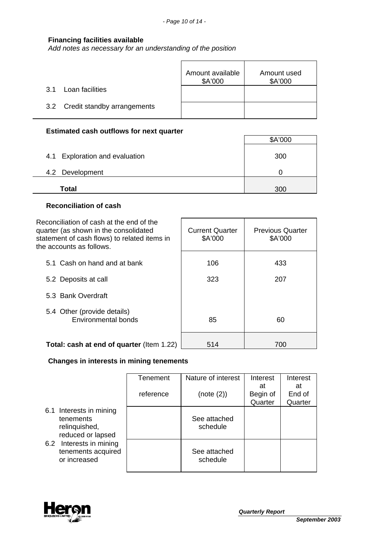# **Financing facilities available**

*Add notes as necessary for an understanding of the position*

|                                 | Amount available<br>\$A'000 | Amount used<br>\$A'000 |
|---------------------------------|-----------------------------|------------------------|
| Loan facilities<br>3.1          |                             |                        |
| 3.2 Credit standby arrangements |                             |                        |

# **Estimated cash outflows for next quarter**

|                                | \$A'000 |
|--------------------------------|---------|
| 4.1 Exploration and evaluation | 300     |
| 4.2 Development                |         |
| <b>Total</b>                   | 300     |

 $\overline{\phantom{0}}$ 

┑

# **Reconciliation of cash**

| Reconciliation of cash at the end of the<br>quarter (as shown in the consolidated<br>statement of cash flows) to related items in<br>the accounts as follows. | <b>Current Quarter</b><br>\$A'000 | <b>Previous Quarter</b><br>\$A'000 |
|---------------------------------------------------------------------------------------------------------------------------------------------------------------|-----------------------------------|------------------------------------|
| 5.1 Cash on hand and at bank                                                                                                                                  | 106                               | 433                                |
| 5.2 Deposits at call                                                                                                                                          | 323                               | 207                                |
| 5.3 Bank Overdraft                                                                                                                                            |                                   |                                    |
| 5.4 Other (provide details)<br>Environmental bonds                                                                                                            | 85                                | 60                                 |
| Total: cash at end of quarter (Item 1.22)                                                                                                                     | 514                               | 700                                |

# **Changes in interests in mining tenements**

|                                                                            | Tenement  | Nature of interest       | Interest                  | Interest                |
|----------------------------------------------------------------------------|-----------|--------------------------|---------------------------|-------------------------|
|                                                                            | reference | (note (2))               | at<br>Begin of<br>Quarter | at<br>End of<br>Quarter |
| 6.1 Interests in mining<br>tenements<br>relinquished,<br>reduced or lapsed |           | See attached<br>schedule |                           |                         |
| 6.2 Interests in mining<br>tenements acquired<br>or increased              |           | See attached<br>schedule |                           |                         |

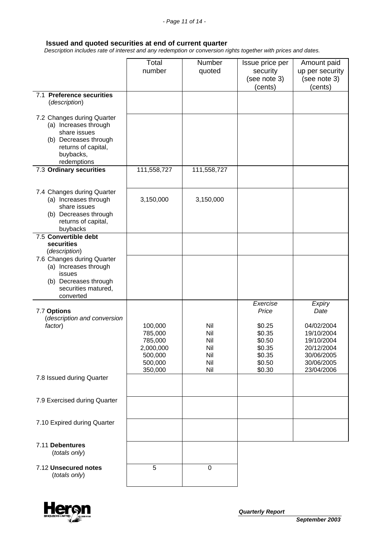# **Issued and quoted securities at end of current quarter**

 *Description includes rate of interest and any redemption or conversion rights together with prices and dates.*

|                                                                                                                                                 | Total<br>number                                                             | Number<br>quoted                              | Issue price per<br>security<br>(see note 3)<br>(cents)                                  | Amount paid<br>up per security<br>(see note 3)<br>(cents)                                                        |
|-------------------------------------------------------------------------------------------------------------------------------------------------|-----------------------------------------------------------------------------|-----------------------------------------------|-----------------------------------------------------------------------------------------|------------------------------------------------------------------------------------------------------------------|
| 7.1 Preference securities<br>(description)                                                                                                      |                                                                             |                                               |                                                                                         |                                                                                                                  |
| 7.2 Changes during Quarter<br>(a) Increases through<br>share issues<br>(b) Decreases through<br>returns of capital,<br>buybacks,<br>redemptions |                                                                             |                                               |                                                                                         |                                                                                                                  |
| 7.3 Ordinary securities                                                                                                                         | 111,558,727                                                                 | 111,558,727                                   |                                                                                         |                                                                                                                  |
| 7.4 Changes during Quarter<br>(a) Increases through<br>share issues<br>(b) Decreases through<br>returns of capital,<br>buybacks                 | 3,150,000                                                                   | 3,150,000                                     |                                                                                         |                                                                                                                  |
| 7.5 Convertible debt<br>securities<br>(description)                                                                                             |                                                                             |                                               |                                                                                         |                                                                                                                  |
| 7.6 Changes during Quarter<br>(a) Increases through<br>issues<br>(b) Decreases through<br>securities matured,<br>converted                      |                                                                             |                                               |                                                                                         |                                                                                                                  |
| 7.7 Options<br>(description and conversion<br>factor)                                                                                           | 100,000<br>785,000<br>785,000<br>2,000,000<br>500,000<br>500,000<br>350,000 | Nil<br>Nil<br>Nil<br>Nil<br>Nil<br>Nil<br>Nil | Exercise<br>Price<br>\$0.25<br>\$0.35<br>\$0.50<br>\$0.35<br>\$0.35<br>\$0.50<br>\$0.30 | Expiry<br>Date<br>04/02/2004<br>19/10/2004<br>19/10/2004<br>20/12/2004<br>30/06/2005<br>30/06/2005<br>23/04/2006 |
| 7.8 Issued during Quarter                                                                                                                       |                                                                             |                                               |                                                                                         |                                                                                                                  |
| 7.9 Exercised during Quarter                                                                                                                    |                                                                             |                                               |                                                                                         |                                                                                                                  |
| 7.10 Expired during Quarter                                                                                                                     |                                                                             |                                               |                                                                                         |                                                                                                                  |
| 7.11 Debentures<br>(totals only)                                                                                                                |                                                                             |                                               |                                                                                         |                                                                                                                  |
| 7.12 Unsecured notes<br>(totals only)                                                                                                           | 5                                                                           | 0                                             |                                                                                         |                                                                                                                  |

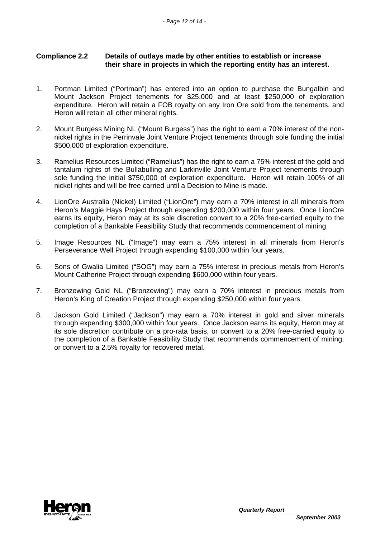# **Compliance 2.2 Details of outlays made by other entities to establish or increase their share in projects in which the reporting entity has an interest.**

- 1. Portman Limited ("Portman") has entered into an option to purchase the Bungalbin and Mount Jackson Project tenements for \$25,000 and at least \$250,000 of exploration expenditure. Heron will retain a FOB royalty on any Iron Ore sold from the tenements, and Heron will retain all other mineral rights.
- 2. Mount Burgess Mining NL ("Mount Burgess") has the right to earn a 70% interest of the nonnickel rights in the Perrinvale Joint Venture Project tenements through sole funding the initial \$500,000 of exploration expenditure.
- 3. Ramelius Resources Limited ("Ramelius") has the right to earn a 75% interest of the gold and tantalum rights of the Bullabulling and Larkinville Joint Venture Project tenements through sole funding the initial \$750,000 of exploration expenditure. Heron will retain 100% of all nickel rights and will be free carried until a Decision to Mine is made.
- 4. LionOre Australia (Nickel) Limited ("LionOre") may earn a 70% interest in all minerals from Heron's Maggie Hays Project through expending \$200,000 within four years. Once LionOre earns its equity, Heron may at its sole discretion convert to a 20% free-carried equity to the completion of a Bankable Feasibility Study that recommends commencement of mining.
- 5. Image Resources NL ("Image") may earn a 75% interest in all minerals from Heron's Perseverance Well Project through expending \$100,000 within four years.
- 6. Sons of Gwalia Limited ("SOG") may earn a 75% interest in precious metals from Heron's Mount Catherine Project through expending \$600,000 within four years.
- 7. Bronzewing Gold NL ("Bronzewing") may earn a 70% interest in precious metals from Heron's King of Creation Project through expending \$250,000 within four years.
- 8. Jackson Gold Limited ("Jackson") may earn a 70% interest in gold and silver minerals through expending \$300,000 within four years. Once Jackson earns its equity, Heron may at its sole discretion contribute on a pro-rata basis, or convert to a 20% free-carried equity to the completion of a Bankable Feasibility Study that recommends commencement of mining, or convert to a 2.5% royalty for recovered metal.

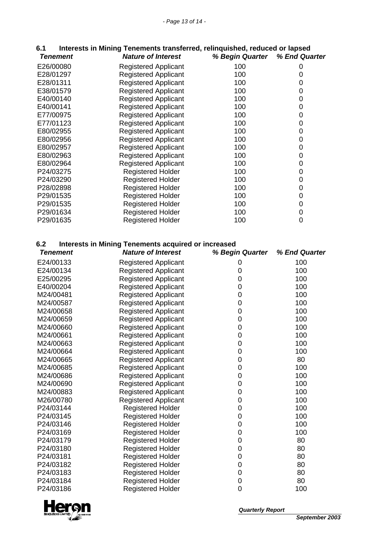| 6.1 |                 | Interests in Mining Tenements transferred, relinguished, reduced or lapsed |                               |  |
|-----|-----------------|----------------------------------------------------------------------------|-------------------------------|--|
|     | <b>Tenement</b> | <b>Nature of Interest</b>                                                  | % Begin Quarter % End Quarter |  |

| <i>i</i> chchichi | MAIULT VI IIIITI COL        | <i>n</i> Degin wuanci yi Lilu wuanc |   |
|-------------------|-----------------------------|-------------------------------------|---|
| E26/00080         | <b>Registered Applicant</b> | 100                                 | 0 |
| E28/01297         | <b>Registered Applicant</b> | 100                                 | 0 |
| E28/01311         | <b>Registered Applicant</b> | 100                                 | 0 |
| E38/01579         | <b>Registered Applicant</b> | 100                                 | 0 |
| E40/00140         | <b>Registered Applicant</b> | 100                                 | 0 |
| E40/00141         | <b>Registered Applicant</b> | 100                                 | 0 |
| E77/00975         | <b>Registered Applicant</b> | 100                                 | 0 |
| E77/01123         | <b>Registered Applicant</b> | 100                                 | 0 |
| E80/02955         | <b>Registered Applicant</b> | 100                                 | 0 |
| E80/02956         | <b>Registered Applicant</b> | 100                                 | 0 |
| E80/02957         | <b>Registered Applicant</b> | 100                                 | 0 |
| E80/02963         | <b>Registered Applicant</b> | 100                                 | 0 |
| E80/02964         | <b>Registered Applicant</b> | 100                                 | 0 |
| P24/03275         | <b>Registered Holder</b>    | 100                                 | 0 |
| P24/03290         | <b>Registered Holder</b>    | 100                                 | 0 |
| P28/02898         | <b>Registered Holder</b>    | 100                                 | 0 |
| P29/01535         | <b>Registered Holder</b>    | 100                                 | 0 |
| P29/01535         | <b>Registered Holder</b>    | 100                                 | 0 |
| P29/01634         | <b>Registered Holder</b>    | 100                                 | 0 |
| P29/01635         | <b>Registered Holder</b>    | 100                                 | 0 |
|                   |                             |                                     |   |

# **6.2 Interests in Mining Tenements acquired or increased**

| <b>Nature of Interest</b>   | % Begin Quarter                                                                                                                                                                                                                                                                                                                                                                                                  | % End Quarter                                                                                                                                    |
|-----------------------------|------------------------------------------------------------------------------------------------------------------------------------------------------------------------------------------------------------------------------------------------------------------------------------------------------------------------------------------------------------------------------------------------------------------|--------------------------------------------------------------------------------------------------------------------------------------------------|
| <b>Registered Applicant</b> | 0                                                                                                                                                                                                                                                                                                                                                                                                                | 100                                                                                                                                              |
| <b>Registered Applicant</b> | 0                                                                                                                                                                                                                                                                                                                                                                                                                | 100                                                                                                                                              |
| <b>Registered Applicant</b> | 0                                                                                                                                                                                                                                                                                                                                                                                                                | 100                                                                                                                                              |
| <b>Registered Applicant</b> | 0                                                                                                                                                                                                                                                                                                                                                                                                                | 100                                                                                                                                              |
| <b>Registered Applicant</b> | 0                                                                                                                                                                                                                                                                                                                                                                                                                | 100                                                                                                                                              |
| <b>Registered Applicant</b> | 0                                                                                                                                                                                                                                                                                                                                                                                                                | 100                                                                                                                                              |
| <b>Registered Applicant</b> | $\mathbf 0$                                                                                                                                                                                                                                                                                                                                                                                                      | 100                                                                                                                                              |
| <b>Registered Applicant</b> | $\mathbf 0$                                                                                                                                                                                                                                                                                                                                                                                                      | 100                                                                                                                                              |
| <b>Registered Applicant</b> | 0                                                                                                                                                                                                                                                                                                                                                                                                                | 100                                                                                                                                              |
| <b>Registered Applicant</b> | 0                                                                                                                                                                                                                                                                                                                                                                                                                | 100                                                                                                                                              |
|                             | 0                                                                                                                                                                                                                                                                                                                                                                                                                | 100                                                                                                                                              |
| <b>Registered Applicant</b> | 0                                                                                                                                                                                                                                                                                                                                                                                                                | 100                                                                                                                                              |
| <b>Registered Applicant</b> | 0                                                                                                                                                                                                                                                                                                                                                                                                                | 80                                                                                                                                               |
| <b>Registered Applicant</b> | 0                                                                                                                                                                                                                                                                                                                                                                                                                | 100                                                                                                                                              |
|                             | 0                                                                                                                                                                                                                                                                                                                                                                                                                | 100                                                                                                                                              |
| <b>Registered Applicant</b> | 0                                                                                                                                                                                                                                                                                                                                                                                                                | 100                                                                                                                                              |
|                             | $\mathbf 0$                                                                                                                                                                                                                                                                                                                                                                                                      | 100                                                                                                                                              |
|                             |                                                                                                                                                                                                                                                                                                                                                                                                                  | 100                                                                                                                                              |
|                             | 0                                                                                                                                                                                                                                                                                                                                                                                                                | 100                                                                                                                                              |
| <b>Registered Holder</b>    |                                                                                                                                                                                                                                                                                                                                                                                                                  | 100                                                                                                                                              |
|                             |                                                                                                                                                                                                                                                                                                                                                                                                                  | 100                                                                                                                                              |
|                             |                                                                                                                                                                                                                                                                                                                                                                                                                  | 100                                                                                                                                              |
|                             |                                                                                                                                                                                                                                                                                                                                                                                                                  | 80                                                                                                                                               |
|                             |                                                                                                                                                                                                                                                                                                                                                                                                                  | 80                                                                                                                                               |
|                             |                                                                                                                                                                                                                                                                                                                                                                                                                  | 80                                                                                                                                               |
|                             |                                                                                                                                                                                                                                                                                                                                                                                                                  | 80                                                                                                                                               |
|                             |                                                                                                                                                                                                                                                                                                                                                                                                                  | 80                                                                                                                                               |
|                             | 0                                                                                                                                                                                                                                                                                                                                                                                                                | 80                                                                                                                                               |
|                             |                                                                                                                                                                                                                                                                                                                                                                                                                  | 100                                                                                                                                              |
|                             | <b>Registered Applicant</b><br><b>Registered Applicant</b><br><b>Registered Applicant</b><br><b>Registered Applicant</b><br><b>Registered Holder</b><br><b>Registered Holder</b><br><b>Registered Holder</b><br><b>Registered Holder</b><br><b>Registered Holder</b><br><b>Registered Holder</b><br><b>Registered Holder</b><br><b>Registered Holder</b><br><b>Registered Holder</b><br><b>Registered Holder</b> | $\mathbf 0$<br>$\mathbf 0$<br>$\mathbf 0$<br>$\mathbf 0$<br>0<br>$\mathbf 0$<br>$\mathbf 0$<br>$\boldsymbol{0}$<br>$\mathbf 0$<br>$\overline{0}$ |